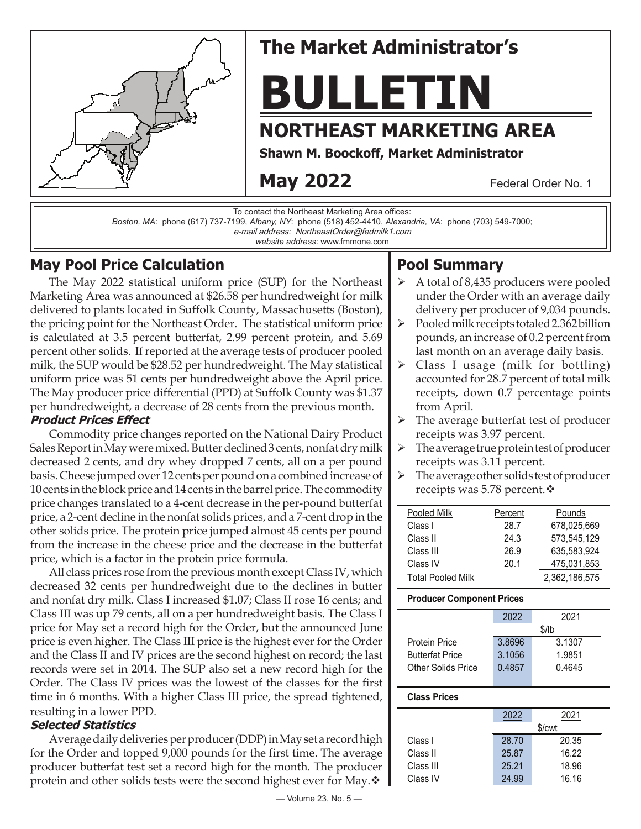

# **The Market Administrator's**

**BULLETIN**

## **NORTHEAST MARKETING AREA**

**Shawn M. Boockoff , Market Administrator**

## **May 2022**

Federal Order No. 1

To contact the Northeast Marketing Area offices:

*Boston, MA*: phone (617) 737-7199, *Albany, NY*: phone (518) 452-4410, *Alexandria, VA*: phone (703) 549-7000;

e-mail address: NortheastOrder@fedmilk1.com

*website address*: www.fmmone.com

## **May Pool Price Calculation**

The May 2022 statistical uniform price (SUP) for the Northeast Marketing Area was announced at \$26.58 per hundredweight for milk delivered to plants located in Suffolk County, Massachusetts (Boston), the pricing point for the Northeast Order. The statistical uniform price is calculated at 3.5 percent butterfat, 2.99 percent protein, and 5.69 percent other solids. If reported at the average tests of producer pooled milk, the SUP would be \$28.52 per hundredweight. The May statistical uniform price was 51 cents per hundredweight above the April price. The May producer price differential (PPD) at Suffolk County was \$1.37 per hundredweight, a decrease of 28 cents from the previous month.

### **Product Prices Effect**

Commodity price changes reported on the National Dairy Product Sales Report in May were mixed. Butter declined 3 cents, nonfat dry milk decreased 2 cents, and dry whey dropped 7 cents, all on a per pound basis. Cheese jumped over 12 cents per pound on a combined increase of 10 cents in the block price and 14 cents in the barrel price. The commodity price changes translated to a 4-cent decrease in the per-pound butterfat price, a 2-cent decline in the nonfat solids prices, and a 7-cent drop in the other solids price. The protein price jumped almost 45 cents per pound from the increase in the cheese price and the decrease in the butterfat price, which is a factor in the protein price formula.

All class prices rose from the previous month except Class IV, which decreased 32 cents per hundredweight due to the declines in butter and nonfat dry milk. Class I increased \$1.07; Class II rose 16 cents; and Class III was up 79 cents, all on a per hundredweight basis. The Class I price for May set a record high for the Order, but the announced June price is even higher. The Class III price is the highest ever for the Order and the Class II and IV prices are the second highest on record; the last records were set in 2014. The SUP also set a new record high for the Order. The Class IV prices was the lowest of the classes for the first time in 6 months. With a higher Class III price, the spread tightened, resulting in a lower PPD.

#### **Selected Statistics**

Average daily deliveries per producer (DDP) in May set a record high for the Order and topped 9,000 pounds for the first time. The average producer butterfat test set a record high for the month. The producer protein and other solids tests were the second highest ever for May. $\mathbf{\hat{v}}$ 

#### — Volume 23, No. 5 —

## **Pool Summary**

- A total of 8,435 producers were pooled under the Order with an average daily delivery per producer of 9,034 pounds.
- $\triangleright$  Pooled milk receipts totaled 2.362 billion pounds, an increase of 0.2 percent from last month on an average daily basis.
- $\triangleright$  Class I usage (milk for bottling) accounted for 28.7 percent of total milk receipts, down 0.7 percentage points from April.
- $\triangleright$  The average butterfat test of producer receipts was 3.97 percent.
- $\triangleright$  The average true protein test of producer receipts was 3.11 percent.
- The average other solids test of producer receipts was 5.78 percent.  $\diamond$

| Pooled Milk              | Percent | Pounds        |
|--------------------------|---------|---------------|
| Class I                  | 28.7    | 678,025,669   |
| Class II                 | 24.3    | 573,545,129   |
| Class III                | 26.9    | 635,583,924   |
| Class IV                 | 20.1    | 475,031,853   |
| <b>Total Pooled Milk</b> |         | 2,362,186,575 |
|                          |         |               |

#### **Producer Component Prices**

|                        | 2022    | 2021   |  |
|------------------------|---------|--------|--|
|                        | $$$ /lb |        |  |
| Protein Price          | 3.8696  | 3.1307 |  |
| <b>Butterfat Price</b> | 3.1056  | 1.9851 |  |
| Other Solids Price     | 0.4857  | 0.4645 |  |
|                        |         |        |  |

#### **Class Prices**

|           |        | 2021  |  |
|-----------|--------|-------|--|
|           | \$/cwt |       |  |
| Class I   | 28.70  | 20.35 |  |
| Class II  | 25.87  | 16.22 |  |
| Class III | 25.21  | 18.96 |  |
| Class IV  | 24.99  | 16.16 |  |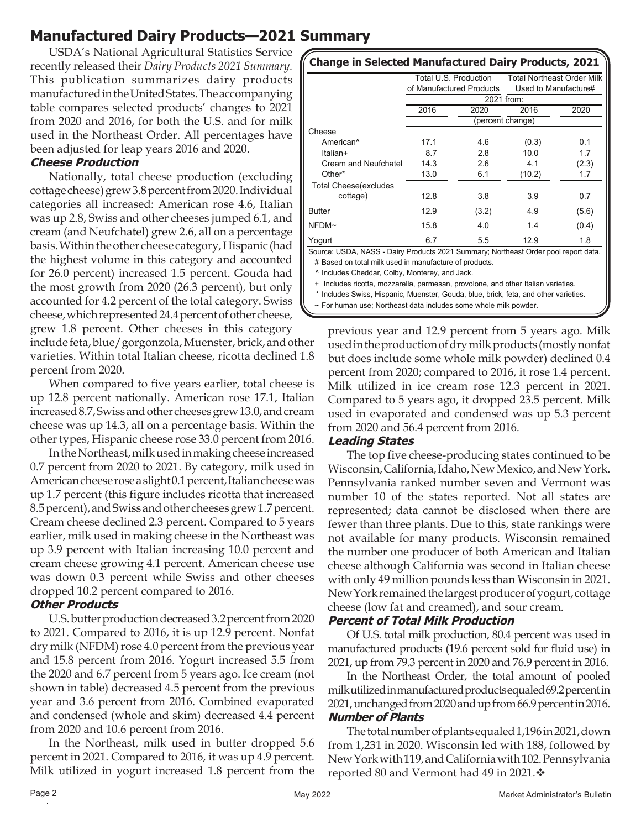## **Manufactured Dairy Products—2021 Summary**

USDA's National Agricultural Statistics Service recently released their *Dairy Products 2021 Summary.*  This publication summarizes dairy products manufactured in the United States. The accompanying table compares selected products' changes to 2021 from 2020 and 2016, for both the U.S. and for milk used in the Northeast Order. All percentages have been adjusted for leap years 2016 and 2020.

#### **Cheese Production**

Nationally, total cheese production (excluding cottage cheese) grew 3.8 percent from 2020. Individual categories all increased: American rose 4.6, Italian was up 2.8, Swiss and other cheeses jumped 6.1, and cream (and Neufchatel) grew 2.6, all on a percentage basis. Within the other cheese category, Hispanic (had the highest volume in this category and accounted for 26.0 percent) increased 1.5 percent. Gouda had the most growth from 2020 (26.3 percent), but only accounted for 4.2 percent of the total category. Swiss cheese, which represented 24.4 percent of other cheese, grew 1.8 percent. Other cheeses in this category

include feta, blue/gorgonzola, Muenster, brick, and other varieties. Within total Italian cheese, ricotta declined 1.8 percent from 2020.

When compared to five years earlier, total cheese is up 12.8 percent nationally. American rose 17.1, Italian increased 8.7, Swiss and other cheeses grew 13.0, and cream cheese was up 14.3, all on a percentage basis. Within the other types, Hispanic cheese rose 33.0 percent from 2016.

In the Northeast, milk used in making cheese increased 0.7 percent from 2020 to 2021. By category, milk used in American cheese rose a slight 0.1 percent, Italian cheese was up 1.7 percent (this figure includes ricotta that increased 8.5 percent), and Swiss and other cheeses grew 1.7 percent. Cream cheese declined 2.3 percent. Compared to 5 years earlier, milk used in making cheese in the Northeast was up 3.9 percent with Italian increasing 10.0 percent and cream cheese growing 4.1 percent. American cheese use was down 0.3 percent while Swiss and other cheeses dropped 10.2 percent compared to 2016.

#### **Other Products**

U.S. butter production decreased 3.2 percent from 2020 to 2021. Compared to 2016, it is up 12.9 percent. Nonfat dry milk (NFDM) rose 4.0 percent from the previous year and 15.8 percent from 2016. Yogurt increased 5.5 from the 2020 and 6.7 percent from 5 years ago. Ice cream (not shown in table) decreased 4.5 percent from the previous year and 3.6 percent from 2016. Combined evaporated and condensed (whole and skim) decreased 4.4 percent from 2020 and 10.6 percent from 2016.

In the Northeast, milk used in butter dropped 5.6 percent in 2021. Compared to 2016, it was up 4.9 percent. Milk utilized in yogurt increased 1.8 percent from the

| <b>Change in Selected Manufactured Dairy Products, 2021</b> |                          |                  |                                   |       |  |
|-------------------------------------------------------------|--------------------------|------------------|-----------------------------------|-------|--|
|                                                             | Total U.S. Production    |                  | <b>Total Northeast Order Milk</b> |       |  |
|                                                             | of Manufactured Products |                  | Used to Manufacture#              |       |  |
|                                                             | 2021 from:               |                  |                                   |       |  |
|                                                             | 2016                     | 2020             | 2016                              | 2020  |  |
|                                                             |                          | (percent change) |                                   |       |  |
| Cheese                                                      |                          |                  |                                   |       |  |
| American <sup>^</sup>                                       | 17.1                     | 4.6              | (0.3)                             | 0.1   |  |
| Italian+                                                    | 8.7                      | 2.8              | 10.0                              | 1.7   |  |
| Cream and Neufchatel                                        | 14.3                     | 2.6              | 4.1                               | (2.3) |  |
| Other*                                                      | 13.0                     | 6.1              | (10.2)                            | 1.7   |  |
| <b>Total Cheese(excludes</b>                                |                          |                  |                                   |       |  |
| cottage)                                                    | 12.8                     | 3.8              | 3.9                               | 0.7   |  |
| <b>Butter</b>                                               | 12.9                     | (3.2)            | 4.9                               | (5.6) |  |
| NFDM~                                                       | 15.8                     | 4.0              | 1.4                               | (0.4) |  |
| Yogurt                                                      | 6.7                      | 5.5              | 12.9                              | 1.8   |  |

Source: USDA, NASS - Dairy Products 2021 Summary; Northeast Order pool report data.

# Based on total milk used in manufacture of products.

^ Includes Cheddar, Colby, Monterey, and Jack. + Includes ricotta, mozzarella, parmesan, provolone, and other Italian varieties.

\* Includes Swiss, Hispanic, Muenster, Gouda, blue, brick, feta, and other varieties.

 $\sim$  For human use: Northeast data includes some whole milk powder.

previous year and 12.9 percent from 5 years ago. Milk used in the production of dry milk products (mostly nonfat but does include some whole milk powder) declined 0.4 percent from 2020; compared to 2016, it rose 1.4 percent. Milk utilized in ice cream rose 12.3 percent in 2021. Compared to 5 years ago, it dropped 23.5 percent. Milk used in evaporated and condensed was up 5.3 percent from 2020 and 56.4 percent from 2016.

#### **Leading States**

The top five cheese-producing states continued to be Wisconsin, California, Idaho, New Mexico, and New York. Pennsylvania ranked number seven and Vermont was number 10 of the states reported. Not all states are represented; data cannot be disclosed when there are fewer than three plants. Due to this, state rankings were not available for many products. Wisconsin remained the number one producer of both American and Italian cheese although California was second in Italian cheese with only 49 million pounds less than Wisconsin in 2021. New York remained the largest producer of yogurt, cottage cheese (low fat and creamed), and sour cream.

#### **Percent of Total Milk Production**

Of U.S. total milk production, 80.4 percent was used in manufactured products (19.6 percent sold for fluid use) in 2021, up from 79.3 percent in 2020 and 76.9 percent in 2016.

In the Northeast Order, the total amount of pooled milk utilized in manufactured products equaled 69.2 percent in 2021, unchanged from 2020 and up from 66.9 percent in 2016. **Number of Plants**

The total number of plants equaled 1,196 in 2021, down from 1,231 in 2020. Wisconsin led with 188, followed by New York with 119, and California with 102. Pennsylvania reported 80 and Vermont had 49 in 2021.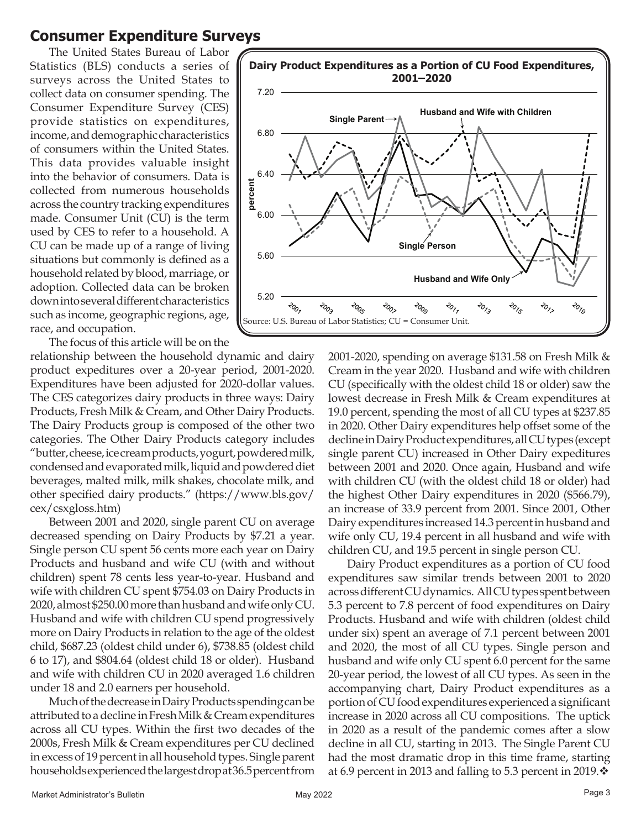### **Consumer Expenditure Surveys**

The United States Bureau of Labor Statistics (BLS) conducts a series of surveys across the United States to collect data on consumer spending. The Consumer Expenditure Survey (CES) provide statistics on expenditures, income, and demographic characteristics of consumers within the United States. This data provides valuable insight into the behavior of consumers. Data is collected from numerous households across the country tracking expenditures made. Consumer Unit (CU) is the term used by CES to refer to a household. A CU can be made up of a range of living situations but commonly is defined as a household related by blood, marriage, or adoption. Collected data can be broken down into several different characteristics such as income, geographic regions, age, race, and occupation.

The focus of this article will be on the

relationship between the household dynamic and dairy product expeditures over a 20-year period, 2001-2020. Expenditures have been adjusted for 2020-dollar values. The CES categorizes dairy products in three ways: Dairy Products, Fresh Milk & Cream, and Other Dairy Products. The Dairy Products group is composed of the other two categories. The Other Dairy Products category includes "butter, cheese, ice cream products, yogurt, powdered milk, condensed and evaporated milk, liquid and powdered diet beverages, malted milk, milk shakes, chocolate milk, and other specified dairy products." (https://www.bls.gov/ cex/csxgloss.htm)

Between 2001 and 2020, single parent CU on average decreased spending on Dairy Products by \$7.21 a year. Single person CU spent 56 cents more each year on Dairy Products and husband and wife CU (with and without children) spent 78 cents less year-to-year. Husband and wife with children CU spent \$754.03 on Dairy Products in 2020, almost \$250.00 more than husband and wife only CU. Husband and wife with children CU spend progressively more on Dairy Products in relation to the age of the oldest child, \$687.23 (oldest child under 6), \$738.85 (oldest child 6 to 17), and \$804.64 (oldest child 18 or older). Husband and wife with children CU in 2020 averaged 1.6 children under 18 and 2.0 earners per household.

Much of the decrease in Dairy Products spending can be attributed to a decline in Fresh Milk & Cream expenditures across all CU types. Within the first two decades of the 2000s, Fresh Milk & Cream expenditures per CU declined in excess of 19 percent in all household types. Single parent households experienced the largest drop at 36.5 percent from



2001-2020, spending on average \$131.58 on Fresh Milk & Cream in the year 2020. Husband and wife with children CU (specifically with the oldest child 18 or older) saw the lowest decrease in Fresh Milk & Cream expenditures at 19.0 percent, spending the most of all CU types at \$237.85 in 2020. Other Dairy expenditures help offset some of the decline in Dairy Product expenditures, all CU types (except single parent CU) increased in Other Dairy expeditures between 2001 and 2020. Once again, Husband and wife with children CU (with the oldest child 18 or older) had the highest Other Dairy expenditures in 2020 (\$566.79), an increase of 33.9 percent from 2001. Since 2001, Other Dairy expenditures increased 14.3 percent in husband and wife only CU, 19.4 percent in all husband and wife with children CU, and 19.5 percent in single person CU.

Dairy Product expenditures as a portion of CU food expenditures saw similar trends between 2001 to 2020 across different CU dynamics. All CU types spent between 5.3 percent to 7.8 percent of food expenditures on Dairy Products. Husband and wife with children (oldest child under six) spent an average of 7.1 percent between 2001 and 2020, the most of all CU types. Single person and husband and wife only CU spent 6.0 percent for the same 20-year period, the lowest of all CU types. As seen in the accompanying chart, Dairy Product expenditures as a portion of CU food expenditures experienced a significant increase in 2020 across all CU compositions. The uptick in 2020 as a result of the pandemic comes after a slow decline in all CU, starting in 2013. The Single Parent CU had the most dramatic drop in this time frame, starting at 6.9 percent in 2013 and falling to 5.3 percent in 2019. $\cdot$